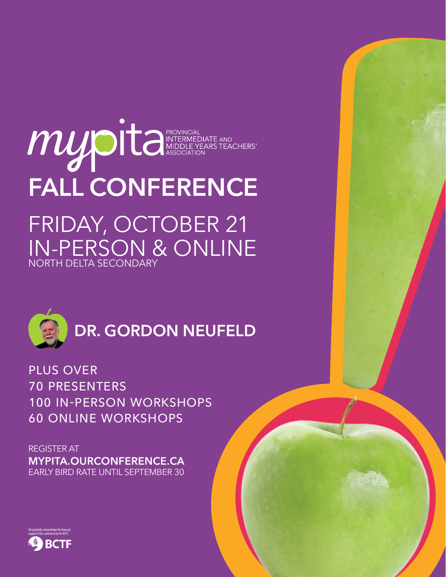## MUDELE NEARS TEACHERS' **FALL CONFERENCE** FRIDAY, OCTOBER 21 IN-PERSON & ONLINE NORTH DELTA SECONDARY



**DR. GORDON NEUFELD**

plus over 70 presenters 100 in-person workshops 60 online workshops

REGISTER AT **[MYPITA.OURCONFERENCE.CA](https://mypita.ourconference.ca/index.php)** EARLY BIRD RATE UNTIL SEPTEMBER 30

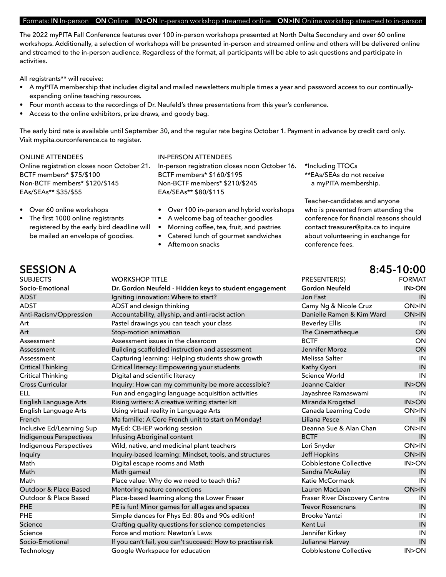## Formats: **IN** In-person **ON** Online **IN>ON** In-person workshop streamed online **ON>IN** Online workshop streamed to in-person

The 2022 myPITA Fall Conference features over 100 in-person workshops presented at North Delta Secondary and over 60 online workshops. Additionally, a selection of workshops will be presented in-person and streamed online and others will be delivered online and streamed to the in-person audience. Regardless of the format, all participants will be able to ask questions and participate in activities.

All registrants\*\* will receive:

- A myPITA membership that includes digital and mailed newsletters multiple times a year and password access to our continuallyexpanding online teaching resources.
- Four month access to the recordings of Dr. Neufeld's three presentations from this year's conference.
- Access to the online exhibitors, prize draws, and goody bag.

The early bird rate is available until September 30, and the regular rate begins October 1. Payment in advance by credit card only. Visit [mypita.ourconference.ca](https://mypita.ourconference.ca/index.php) to register.

### ONLINE ATTENDEES

Online registration closes noon October 21. BCTF members\* \$75/\$100 Non-BCTF members\* \$120/\$145 EAs/SEAs\*\* \$35/\$55

- Over 60 online workshops
- The first 1000 online registrants registered by the early bird deadline will be mailed an envelope of goodies.

IN-PERSON ATTENDEES In-person registration closes noon October 16. BCTF members\* \$160/\$195 Non-BCTF members\* \$210/\$245 EAs/SEAs\*\* \$80/\$115

- Over 100 in-person and hybrid workshops
- A welcome bag of teacher goodies
- Morning coffee, tea, fruit, and pastries
- Catered lunch of gourmet sandwiches
- Afternoon snacks

\*Including TTOCs \*\*EAs/SEAs do not receive a myPITA membership.

Teacher-candidates and anyone who is prevented from attending the conference for financial reasons should contact treasurer@pita.ca to inquire about volunteering in exchange for conference fees.

## SUBJECTS WORKSHOP TITLE PRESENTER(S) FORMAT **Socio-Emotional Dr. Gordon Neufeld - Hidden keys to student engagement Gordon Neufeld IN>ON** ADST **Igniting innovation: Where to start?** And Igniting innovation: Where to start? Also in the start is a start in the start in the start in the start is a start in the start in the start is a start in the start in the s ADST ADST and design thinking and the Camy Ng & Nicole Cruz ON>IN Anti-Racism/Oppression Accountability, allyship, and anti-racist action Danielle Ramen & Kim Ward ON>IN Art **Art Example 2** Pastel drawings you can teach your class **Beverley Ellis** Beverley Ellis **IN** Art Stop-motion animation Art Stop-motion animation Communication Communication CON Assessment Assessment issues in the classroom BCTF ON Assessment Building scaffolded instruction and assessment Jennifer Moroz ON Assessment Capturing learning: Helping students show growth Melissa Salter Melissa Salter IN Critical Thinking Critical literacy: Empowering your students Kathy Gyori Critical Thinking Critical IN Critical Thinking Digital and scientific literacy Science World IN Cross Curricular **Inquiry: How can my community be more accessible?** Joanne Calder **IN>ON** ELL Fun and engaging language acquisition activities Jayashree Ramaswami IN English Language Arts Rising writers: A creative writing starter kit Miranda Krogstad IN>ON English Language Arts Using virtual reality in Language Arts Canada Learning Code CON>IN French Ma famille: A Core French unit to start on Monday! Liliana Pesce Context of Monday! Inclusive Ed/Learning Sup MyEd: CB-IEP working session **Deanna Sue & Alan Chan** ON>IN Indigenous Perspectives Infusing Aboriginal content The Communication of BCTF International IN Indigenous Perspectives Wild, native, and medicinal plant teachers **Lori Snyder** CON>IN Inquiry **Inquiry-based learning: Mindset, tools, and structures** Jeff Hopkins **DININ** Math **Digital escape rooms and Math Cobblestone Collective** IN>ON Math Math games! Sandra McAulay IN Math Place value: Why do we need to teach this? Katie McCormack IN<br>Outdoor & Place-Based Mentoring nature connections Lauren MacLean DN>IN ON>IN Nentoring nature connections Lauren MacLean DN>IN Lauren MacLean ON>IN Outdoor & Place Based Place-based learning along the Lower Fraser Fraser Fraser River Discovery Centre IN PHE **PE is fun! Minor games for all ages and spaces** Trevor Rosencrans **IN** PHE Simple dances for Phys Ed: 80s and 90s edition! Brooke Yantzi Show Brooke Yantzi IN Science Crafting quality questions for science competencies Kent Lui IN Science Force and motion: Newton's Laws Jennifer Kirkey Jennifer Kirkey Force and motion: Newton's Laws<br>Socio-Emotional If you can't fail, you can't succeed: How to practise risk Julianne Harvey IN If you can't fail, you can't succeed: How to practise risk Julianne Harvey IN IN Technology **Soogle Workspace for education** Cobblestone Collective IN>ON

## **SESSION A 8:45-10:00**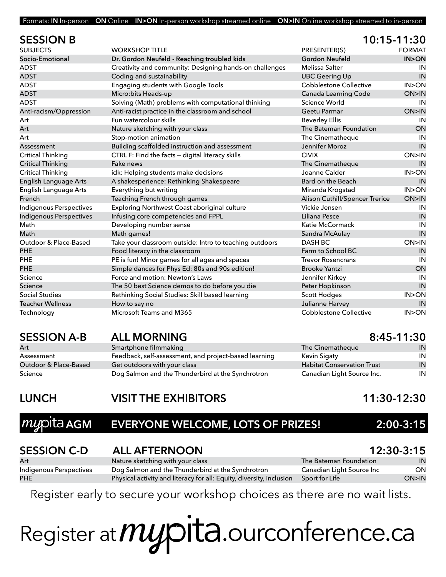| Formats: IN In-person ON Online IN>ON In-person workshop streamed online ON>IN Online workshop streamed to in-person |  |  |  |  |  |  |  |  |
|----------------------------------------------------------------------------------------------------------------------|--|--|--|--|--|--|--|--|
|----------------------------------------------------------------------------------------------------------------------|--|--|--|--|--|--|--|--|

| <b>SESSION B</b>               |                                                         | 10:15-11:30                    |                 |
|--------------------------------|---------------------------------------------------------|--------------------------------|-----------------|
| <b>SUBJECTS</b>                | <b>WORKSHOP TITI F</b>                                  | PRESENTER(S)                   | <b>FORMAT</b>   |
| Socio-Emotional                | Dr. Gordon Neufeld - Reaching troubled kids             | <b>Gordon Neufeld</b>          | <b>IN&gt;ON</b> |
| <b>ADST</b>                    | Creativity and community: Designing hands-on challenges | Melissa Salter                 | IN              |
| <b>ADST</b>                    | Coding and sustainability                               | <b>UBC Geering Up</b>          | IN              |
| <b>ADST</b>                    | Engaging students with Google Tools                     | <b>Cobblestone Collective</b>  | IN > ON         |
| ADST                           | Micro: bits Heads-up                                    | Canada Learning Code           | ON>IN           |
| <b>ADST</b>                    | Solving (Math) problems with computational thinking     | Science World                  | IN              |
| Anti-racism/Oppression         | Anti-racist practice in the classroom and school        | Geetu Parmar                   | ON>IN           |
| Art                            | Fun watercolour skills                                  | <b>Beverley Ellis</b>          | IN              |
| Art                            | Nature sketching with your class                        | The Bateman Foundation         | ON              |
| Art                            | Stop-motion animation                                   | The Cinematheque               | IN              |
| Assessment                     | Building scaffolded instruction and assessment          | Jennifer Moroz                 | IN              |
| <b>Critical Thinking</b>       | CTRL F: Find the facts - digital literacy skills        | <b>CIVIX</b>                   | ON>IN           |
| <b>Critical Thinking</b>       | Fake news                                               | The Cinematheque               | IN              |
| <b>Critical Thinking</b>       | idk: Helping students make decisions                    | Joanne Calder                  | IN > ON         |
| English Language Arts          | A shakesperience: Rethinking Shakespeare                | Bard on the Beach              | IN              |
| <b>English Language Arts</b>   | Everything but writing                                  | Miranda Krogstad               | IN > ON         |
| French                         | Teaching French through games                           | Alison Cuthill/Spencer Trerice | ON>IN           |
| Indigenous Perspectives        | Exploring Northwest Coast aboriginal culture            | Vickie Jensen                  | IN              |
| <b>Indigenous Perspectives</b> | Infusing core competencies and FPPL                     | Liliana Pesce                  | IN              |
| Math                           | Developing number sense                                 | Katie McCormack                | IN              |
| Math                           | Math games!                                             | Sandra McAulay                 | IN              |
| Outdoor & Place-Based          | Take your classroom outside: Intro to teaching outdoors | DASH BC                        | ON>IN           |
| <b>PHE</b>                     | Food literacy in the classroom                          | Farm to School BC              | IN              |
| PHE                            | PE is fun! Minor games for all ages and spaces          | <b>Trevor Rosencrans</b>       | IN              |
| <b>PHE</b>                     | Simple dances for Phys Ed: 80s and 90s edition!         | <b>Brooke Yantzi</b>           | ON              |
| Science                        | Force and motion: Newton's Laws                         | Jennifer Kirkey                | IN              |
| Science                        | The 50 best Science demos to do before you die          | Peter Hopkinson                | IN              |
| <b>Social Studies</b>          | Rethinking Social Studies: Skill based learning         | <b>Scott Hodges</b>            | IN > ON         |
| <b>Teacher Wellness</b>        | How to say no                                           | Julianne Harvey                | IN              |
| Technology                     | Microsoft Teams and M365                                | <b>Cobblestone Collective</b>  | IN > ON         |

| Art                   |
|-----------------------|
| Assessment            |
| Outdoor & Place-Based |
| Science               |

## **SESSION A-B ALL MORNING 8:45-11:30** Smartphone filmmaking

| .                     |                                                       |                                   | .  |
|-----------------------|-------------------------------------------------------|-----------------------------------|----|
| Assessment            | Feedback, self-assessment, and project-based learning | Kevin Sigaty                      | ΙN |
| Outdoor & Place-Based | Get outdoors with your class                          | <b>Habitat Conservation Trust</b> | IN |
| Science               | Dog Salmon and the Thunderbird at the Synchrotron     | Canadian Light Source Inc.        | IN |

| The Cinematheque                  | IN |
|-----------------------------------|----|
| Kevin Sigaty                      | IN |
| <b>Habitat Conservation Trust</b> | IN |
| Canadian Light Source Inc.        | IN |

## **LUNCH VISIT THE EXHIBITORS 11:30-12:30**

## **Auxiliangleright AGM EVERYONE WELCOME, LOTS OF PRIZES!** 2:00-3:15

| <b>SESSION C-D</b>      | <b>ALL AFTERNOON</b>                                                 |                           | $12:30-3:15$ |
|-------------------------|----------------------------------------------------------------------|---------------------------|--------------|
| Art                     | Nature sketching with your class                                     | The Bateman Foundation I  | IN           |
| Indigenous Perspectives | Dog Salmon and the Thunderbird at the Synchrotron                    | Canadian Light Source Inc | ON.          |
| PHE                     | Physical activity and literacy for all: Equity, diversity, inclusion | Sport for Life            | ON>IN        |

Register early to secure your workshop choices as there are no wait lists.

# Register at *MUS* it a.ourconference.ca